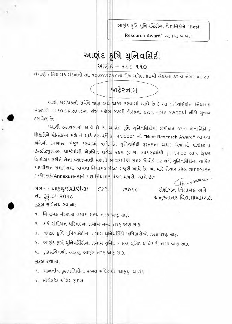આણંદ કૃષિ યુનિવર્સિટીના વૈજ્ઞાનિકોને "Best

Research Award" આપવા બાબત

# આણંદ કૃષિ યુનિવર્સિટી આણંદ $-$  3cc ૧૧૦

ci યાણે: નિયામક મંડળની તા. ૧૦.૦૪.૨૦૧૮ના રોજ મળેલ ૪૭મી બેઠકના ઠરાવ નંબર ૪૭.૨૦

જાહેરનામું

આથી સબંધકર્તા સર્વેને જાણ અર્થે જાહેર કરવામાં આવે છે કે આ યુનિવર્સિટીના નિયામક 4500ની તા.૧૦.૦૪.૨૦૧૮ના રોજ મળેલ ૪૭મી બેઠકના ઠરાવ નંબર ૪૭.૨૦થી નીચે મુજબ ઠરાવેલ છે<del>.</del>

"આથી ઠરાવવામાં આવે છે કે, આણંદ કૃષિ યુનિવર્સિટીમાં સંશોધન કરતા વૈજ્ઞાનિકો / શિક્ષકોને પ્રોત્સાફન મળે તે માટે દર:વર્ષે ; પ૧,000/- નો "Best Research Award" આપવા dion E Rulled 282 szchil and p. and Beta cedson whe Desoll unesed Bન્સીટ્યુશનલ ચાર્જમાંથી એકત્રિત થયેલ રકમ (બ.સ. ૯૫૧૨)માંથી રૂા. ૧૫.૦૦ લાખ ફિકસ 3 પોઝિટ કરીને તેના વ્યાજમાંથી મળતી આવકમાંથી સદર એવોર્ડ દર વર્ષે યુનિવર્સિટીના વાર્ષિક પદવીદાન સમારંભમાં આપવા નિયામક મંડળ મંજુરી આપે છે. આ માટે તૈયાર કરેલ ગાઇડલાઇન / 2Blzsls(Annexure-A)ને પણ નિયામક મંડળ મંજુરી આપે છે."

નંબર: આફ્યુ/સંશો/ટી-3/ (32 /2096) તેમના મિત્ર- 1902 cll. 02.01-1.20'1C z40-imicl8 YIS નકલ સવિનય રવાના;

9. नियामड मंडળना तमाम सक्य तरई काण सा३.

ર. કૃષિ સંશોધન પરિષદના તમા<sup></sup>મ સભ્ય તરફ જાણ સારૂ.

3. આણંદ કૃષિ ચુનિવર્સિટીના તમામ યુનિવર્સિટી અધિકારીઓ તરફ જાણ સારૂ.

 $x$ . આણંદ કૃષિ યુનિવર્સિટીના તમામ યુનિટ / સબ યુનિટ અધિકારી તરફ જાણ સારૂ.

 $u.$   $j$ લસચિવશ્રી, આફયુ, આણંદ તરફ જાણ સારૂ.

નકલ રવાના:

૧. માનનીય કુલપતિશ્રીના રહસ્ય સચિવ<mark>શ્રી</mark>, આકૃયુ, આણંદ

ર. સીલેકટેડ ઓર્ડર ક્રાઇલ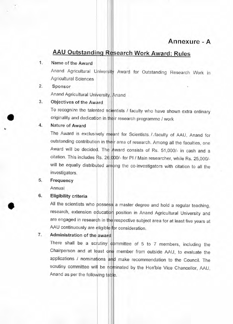## **Annexure - A**

# **AAU Outstanding Research Work Award: Rules**

### **1. Name of the Award**

Anand Agricultural University Award for Outstanding Research Work in Agricultural Sciences

#### **2. Sponsor**

Anand Agricultural University, Anand

## **3. Objectives of the Award**

To recognize the talented scientists / faculty who have shown extra ordinary originality and dedication in their research programme / work

#### **4. Nature of Award**

The Award is exclusively meant for Scientists. / faculty of AAU, Anand for outstanding contribution in their area of research. Among all the faculties, one Award will be decided. The Award consists of Rs. 51,000/- in cash and a citation. This includes Rs. 26,000/- for PI / Main researcher, while Rs. 25,000/ will be equally distributed among the co-investigators with citation to all the investigators.

#### **5. Frequency**

**Annual** 

#### **6. Eligibility criteria**

**All** the scientists who possess a master degree and hold a regular teaching, research, extension education position in Anand Agricultural University and are engaged in research in **the** respective subject area for at least five years at AAU continuously are eligible for consideration.

## **7. Administration of the award**

**There shall be** a scrutiny committee of 5 to 7 members, including the Chairperson and at least one member from outside AAU, to evaluate the applications / nominations **an**d make recommendation to the Council. The scrutiny committee will be nominated by the Hon'ble Vice Chancellor, AAU, Anand as per the following table.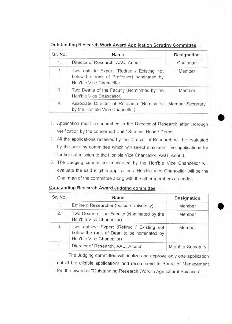Outstanding Research Work Award Application Scrutiny Committee

| Sr. No. | Name                                                                                                               | Designation      |
|---------|--------------------------------------------------------------------------------------------------------------------|------------------|
| 1.      | Director of Research, AAU, Anand                                                                                   | Chairman         |
| 2.      | Two outside Expert (Retired / Existing not<br>below the rank of Professor) nominated by<br>Hon'ble Vice Chancellor | Member           |
| 3.      | Two Deans of the Faculty (Nominated by the<br>Hon'ble Vice Chancellor)                                             | Member           |
| 4.      | Associate Director of Research (Nominated<br>by the Hon'ble Vice Chancellor)                                       | Member Secretary |

1. Application must be submitted to the Director of Research after thorough verification by the concerned Unit / Sub unit Head / Deans.

- 2. All the applications received by the Director of Research will be evaluated by the scrutiny committee which will select maximum five applications for further submission to the Hon'ble Vice Chancellor, AAU, Anand.
- 3. The Judging committee nominated by the Hon'ble Vice Chancellor will evaluate the said eligible applications. Hon'ble Vice Chancellor will be the Chairman of the committee along with the other members as under.

| Sr. No. | Name                                                                                                                | Designation             |
|---------|---------------------------------------------------------------------------------------------------------------------|-------------------------|
| 1.      | Eminent Researcher (outside University)                                                                             | Member                  |
| 2.      | Two Deans of the Faculty (Nominated by the<br>Hon'ble Vice Chancellor)                                              | Member                  |
| 3.      | Two outside Expert (Retired / Existing not<br>below the rank of Dean to be nominated by<br>Hon'ble Vice Chancellor) | Member                  |
| 4.      | Director of Research, AAU, Anand                                                                                    | <b>Member Secretary</b> |

## Outstanding Research Award Judging committee

The Judging committee will finalize and approve only one application out of the eligible applications and recommend to Board of Management for the award of "Outstanding Research Work in Agricultural Sciences".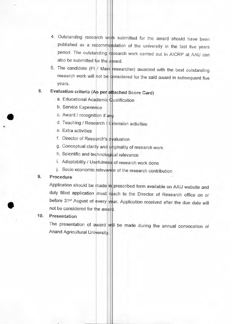- 4. Outstanding research work submitted for the award should have been published as a recommendation of the university in the last five years period. The outstanding research work carried out in AICRP at AAU can also be submitted for the award.
- 5. The candidate (PI / Main researcher) awarded with the best outstanding research work will not be considered for the said award in subsequent five years.

## 8. Evaluation criteria (As per attached Score Card)

- a. Educational Academic Qualification
- b. Service Experience
- c. Award / recognition if any
- d. Teaching / Research / Extension activities
- e. Extra activities
- f. Director of Research's evaluation
- g. Conceptual clarity and originality of research work
- h. Scientific and technological relevance
- i. Adoptability / Usefulness of research work done
- j. Socio economic relevance of the research contribution

### 9. Procedure

Application should be made in prescribed form available on AAU website and duly filled application must reach to the Director of Research office on or before 31<sup>st</sup> August of every year. Application received after the due date will not be considered for the award.

### 10. Presentation

The presentation of award will be made during the annual convocation of Anand Agricultural University.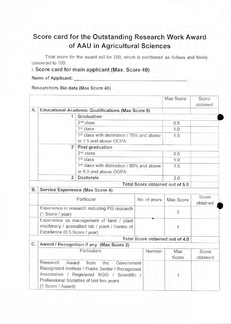# **Score card for the Outstanding Research Work Award of AAU in Agricultural Sciences**

Total score for the award will be 200, which is partitioned as follows and finally converted to 100.

## I. Score card for main applicant (Max. Score 40)

Name of Applicant:

Researchers Bio data (Max Score 40)

|    |                                                                                                                                                                                                                      |                                                   |                                 | Max Score    | Score<br>obtained |  |
|----|----------------------------------------------------------------------------------------------------------------------------------------------------------------------------------------------------------------------|---------------------------------------------------|---------------------------------|--------------|-------------------|--|
| Α. |                                                                                                                                                                                                                      | Educational Academic Qualifications (Max Score 5) |                                 |              |                   |  |
|    | 1                                                                                                                                                                                                                    | Graduation                                        |                                 |              |                   |  |
|    |                                                                                                                                                                                                                      | 2 <sup>nd</sup> class                             |                                 | 0.5          |                   |  |
|    | 1 <sup>st</sup> class                                                                                                                                                                                                |                                                   |                                 | 1.0          |                   |  |
|    | 1st class with distinction / 75% and above<br>or 7.5 and above OGPA                                                                                                                                                  |                                                   |                                 | 1.5          |                   |  |
|    | $\overline{2}$                                                                                                                                                                                                       | Post graduation                                   |                                 |              |                   |  |
|    | 2 <sup>nd</sup> class                                                                                                                                                                                                |                                                   |                                 | 0.5          |                   |  |
|    |                                                                                                                                                                                                                      | 1st class                                         |                                 |              |                   |  |
|    |                                                                                                                                                                                                                      | 1.5                                               |                                 |              |                   |  |
|    | 3                                                                                                                                                                                                                    | Doctorate                                         |                                 | 2,0          |                   |  |
|    |                                                                                                                                                                                                                      |                                                   | Total Score obtained out of 5.0 |              |                   |  |
| В. | Service Experience (Max Score 4)                                                                                                                                                                                     |                                                   |                                 |              |                   |  |
|    |                                                                                                                                                                                                                      | Particular                                        | No. of years                    | Max Score    | Score<br>obtained |  |
|    | Experience in research including PG research<br>(1 Score / year)                                                                                                                                                     |                                                   |                                 | 3            |                   |  |
|    | Experience as management of farm / plant<br>machinery / accredited lab / plant / Centre of<br>Excellence (0.5 Score / year)                                                                                          |                                                   |                                 | 1            |                   |  |
|    |                                                                                                                                                                                                                      |                                                   | Total Score obtained out of 4.0 |              |                   |  |
| C. | Award / Recognition if any (Max Score 2)                                                                                                                                                                             |                                                   |                                 |              |                   |  |
|    |                                                                                                                                                                                                                      | Particulars                                       | Number                          | Max<br>Score | Score<br>obtained |  |
|    | Research<br>Award<br>from<br>the<br>Government<br>Recognized Institute / Public Sector / Recognized<br>Association / Registered NGO / Scientific /<br>Professional Societies of last five years<br>(1 Score / Award) |                                                   | 1                               |              |                   |  |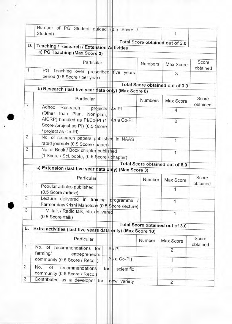|                | Number of PG Student guided (0.5 Score /<br>Student)                                                   |             |         | 1                               |                   |
|----------------|--------------------------------------------------------------------------------------------------------|-------------|---------|---------------------------------|-------------------|
| D.             |                                                                                                        |             |         | Total Score obtained out of 2.0 |                   |
|                | Teaching / Research / Extension Activities<br>a) PG Teaching (Max Score 3)                             |             |         |                                 |                   |
|                | Particular                                                                                             |             | Numbers | Max Score                       | Score<br>obtained |
| 1              | PG Teaching over prescribed<br>period (0.5 Score / per year)                                           | five years  |         | 3                               |                   |
|                |                                                                                                        |             |         | Total Score obtained out of 3.0 |                   |
|                | b) Research (last five year data only) (Max Score 8)                                                   |             |         |                                 |                   |
| $\mathbf{1}$   | Particular<br>Adhoc<br>Research                                                                        |             | Numbers | Max Score                       | Score<br>obtained |
|                | projects As PI<br>(Other than Plan, Non-plan,                                                          |             |         | 4                               |                   |
|                | AICRP) handled as PI/Co-PI (1<br>Score /project as PI) (0.5 \$core<br>/ project as Co-PI)              | As a Co-PI  |         | $\overline{2}$                  |                   |
| 2              | No. of research papers published in NAAS<br>rated journals (0.5 Score / paper)                         |             |         | 1                               |                   |
| 3              | No. of Book / Book chapter published<br>(1 Score / Sci. book), (0.5 \$core / phapter)                  |             |         | 1                               |                   |
|                |                                                                                                        |             |         | Total Score obtained out of 8.0 |                   |
|                | c) Extension (last five year data only) (Max Score 3)                                                  |             |         |                                 |                   |
|                | Particular                                                                                             |             | Number  | Max Score                       | Score<br>obtained |
| 1              | Popular articles published<br>(0.5 Score /article)                                                     |             |         | 1                               |                   |
| 2              | Lecture delivered in training programme /<br>Farmer day/Krishi Mahotsay (0.5 Score /lecture)           |             |         | 1                               |                   |
| 3              | T. V. talk / Radio talk, etc. delivered<br>(0.5 Score /talk)                                           |             |         | 1                               |                   |
|                |                                                                                                        |             |         | Total Score obtained out of 3.0 |                   |
| Е.             | Extra activities (last five years data only) (Max Score 10)                                            |             |         |                                 |                   |
|                | Particular                                                                                             |             | Number  | Max Score                       | Score<br>obtained |
| 1              | No. of<br>recommendations for<br>farming/<br>entrepreneurs                                             | As PI       |         | $\overline{2}$                  |                   |
|                | community (0.5 Score / Reco.)                                                                          | As a Co-PI) |         | 1                               |                   |
| $\overline{c}$ | No.<br>of<br>recommendations<br>for<br>community (0.5 Score / Reco.)<br>Contributed as a developer for | scientific  |         | 1                               |                   |
| 3              |                                                                                                        |             |         |                                 |                   |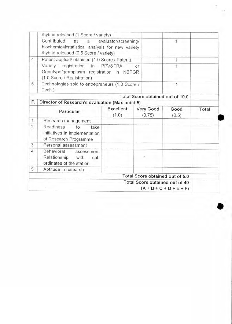|                | /hybrid released (1 Score / variety)                                                                              |                      |                                  |               |       |
|----------------|-------------------------------------------------------------------------------------------------------------------|----------------------|----------------------------------|---------------|-------|
|                | Contributed<br>as a<br>biochemical/statistical analysis for new variety<br>/hybrid released (0.5 Score / variety) | evaluator/screening/ | 1                                |               |       |
| $\overline{4}$ | Patent applied/obtained (1.0 Score / Patent)                                                                      |                      | 1                                |               |       |
|                | Variety registration in PPV&FRA<br>Genotype/germplasm registration in NBPGR<br>(1.0 Score / Registration)         | O <sub>1</sub>       |                                  |               |       |
| 5              | Technologies sold to entrepreneurs (1.0 Score /<br>Tech.)                                                         |                      |                                  | 1             |       |
|                |                                                                                                                   |                      | Total Score obtained out of 10.0 |               |       |
| F.             | Director of Research's evaluation (Max point 5)                                                                   |                      |                                  |               |       |
|                | Particular                                                                                                        | Excellent<br>(1.0)   | Very Good<br>(0.75)              | Good<br>(0.5) | Total |
| 1              | Research management                                                                                               |                      |                                  |               |       |
| $\overline{2}$ | Readiness<br>to<br>take<br>initiatives in implementation<br>of Research Programme                                 |                      |                                  |               |       |
| 3              | Personal assessment                                                                                               |                      |                                  |               |       |
| 4              | Behavioral assessment<br>Relationship with<br>sub<br>ordinates of the station                                     |                      |                                  |               |       |
| 5              | Aptitude in research                                                                                              |                      |                                  |               |       |
|                |                                                                                                                   |                      | Total Score obtained out of 5.0  |               |       |
|                |                                                                                                                   |                      | Total Score obtained out of 40   |               |       |

î